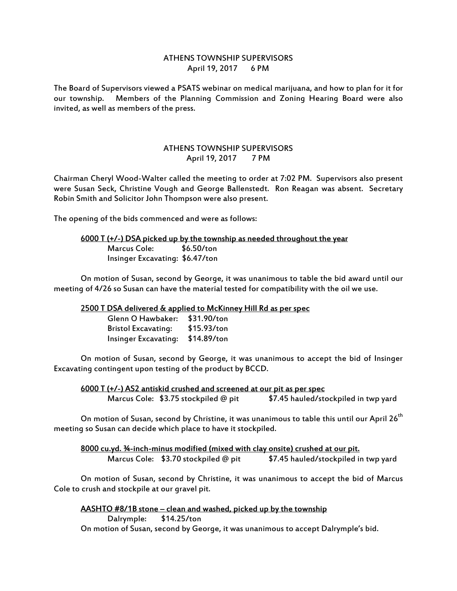## ATHENS TOWNSHIP SUPERVISORS April 19, 2017 6 PM

The Board of Supervisors viewed a PSATS webinar on medical marijuana, and how to plan for it for our township. Members of the Planning Commission and Zoning Hearing Board were also invited, as well as members of the press.

## ATHENS TOWNSHIP SUPERVISORS April 19, 2017 7 PM

Chairman Cheryl Wood-Walter called the meeting to order at 7:02 PM. Supervisors also present were Susan Seck, Christine Vough and George Ballenstedt. Ron Reagan was absent. Secretary Robin Smith and Solicitor John Thompson were also present.

The opening of the bids commenced and were as follows:

## 6000 T (+/-) DSA picked up by the township as needed throughout the year Marcus Cole: \$6.50/ton Insinger Excavating: \$6.47/ton

 On motion of Susan, second by George, it was unanimous to table the bid award until our meeting of 4/26 so Susan can have the material tested for compatibility with the oil we use.

## 2500 T DSA delivered & applied to McKinney Hill Rd as per spec

| Glenn O Hawbaker: \$31.90/ton    |             |
|----------------------------------|-------------|
| <b>Bristol Excavating:</b>       | \$15.93/ton |
| Insinger Excavating: \$14.89/ton |             |

 On motion of Susan, second by George, it was unanimous to accept the bid of Insinger Excavating contingent upon testing of the product by BCCD.

6000 T (+/-) AS2 antiskid crushed and screened at our pit as per spec Marcus Cole: \$3.75 stockpiled @ pit \$7.45 hauled/stockpiled in twp yard

On motion of Susan, second by Christine, it was unanimous to table this until our April 26<sup>th</sup> meeting so Susan can decide which place to have it stockpiled.

8000 cu.yd. ¾-inch-minus modified (mixed with clay onsite) crushed at our pit. Marcus Cole: \$3.70 stockpiled @ pit \$7.45 hauled/stockpiled in twp yard

 On motion of Susan, second by Christine, it was unanimous to accept the bid of Marcus Cole to crush and stockpile at our gravel pit.

AASHTO #8/1B stone – clean and washed, picked up by the township Dalrymple: \$14.25/ton On motion of Susan, second by George, it was unanimous to accept Dalrymple's bid.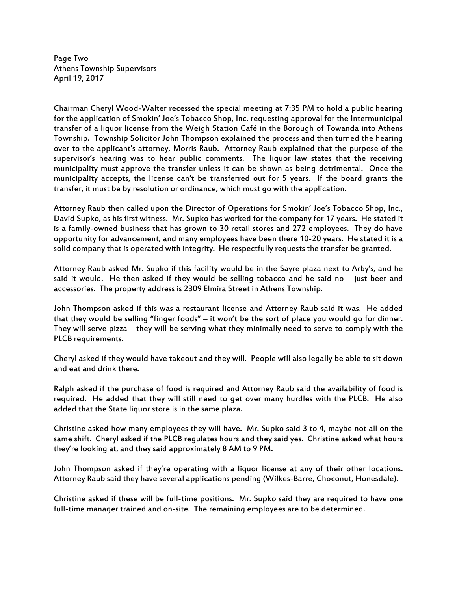Page Two Athens Township Supervisors April 19, 2017

Chairman Cheryl Wood-Walter recessed the special meeting at 7:35 PM to hold a public hearing for the application of Smokin' Joe's Tobacco Shop, Inc. requesting approval for the Intermunicipal transfer of a liquor license from the Weigh Station Café in the Borough of Towanda into Athens Township. Township Solicitor John Thompson explained the process and then turned the hearing over to the applicant's attorney, Morris Raub. Attorney Raub explained that the purpose of the supervisor's hearing was to hear public comments. The liquor law states that the receiving municipality must approve the transfer unless it can be shown as being detrimental. Once the municipality accepts, the license can't be transferred out for 5 years. If the board grants the transfer, it must be by resolution or ordinance, which must go with the application.

Attorney Raub then called upon the Director of Operations for Smokin' Joe's Tobacco Shop, Inc., David Supko, as his first witness. Mr. Supko has worked for the company for 17 years. He stated it is a family-owned business that has grown to 30 retail stores and 272 employees. They do have opportunity for advancement, and many employees have been there 10-20 years. He stated it is a solid company that is operated with integrity. He respectfully requests the transfer be granted.

Attorney Raub asked Mr. Supko if this facility would be in the Sayre plaza next to Arby's, and he said it would. He then asked if they would be selling tobacco and he said no – just beer and accessories. The property address is 2309 Elmira Street in Athens Township.

John Thompson asked if this was a restaurant license and Attorney Raub said it was. He added that they would be selling "finger foods" – it won't be the sort of place you would go for dinner. They will serve pizza – they will be serving what they minimally need to serve to comply with the PLCB requirements.

Cheryl asked if they would have takeout and they will. People will also legally be able to sit down and eat and drink there.

Ralph asked if the purchase of food is required and Attorney Raub said the availability of food is required. He added that they will still need to get over many hurdles with the PLCB. He also added that the State liquor store is in the same plaza.

Christine asked how many employees they will have. Mr. Supko said 3 to 4, maybe not all on the same shift. Cheryl asked if the PLCB regulates hours and they said yes. Christine asked what hours they're looking at, and they said approximately 8 AM to 9 PM.

John Thompson asked if they're operating with a liquor license at any of their other locations. Attorney Raub said they have several applications pending (Wilkes-Barre, Choconut, Honesdale).

Christine asked if these will be full-time positions. Mr. Supko said they are required to have one full-time manager trained and on-site. The remaining employees are to be determined.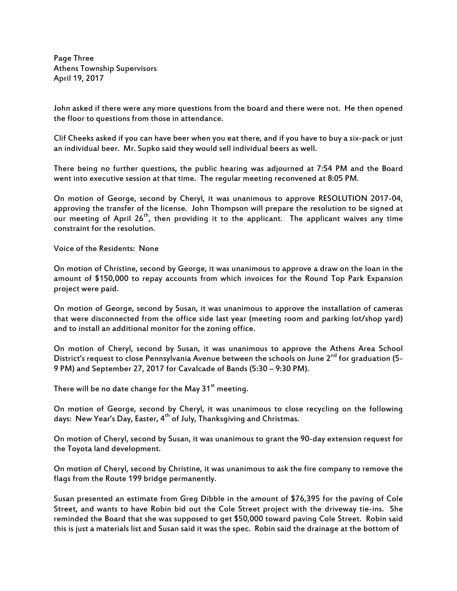Page Three Athens Township Supervisors April 19, 2017

John asked if there were any more questions from the board and there were not. He then opened the floor to questions from those in attendance.

Clif Cheeks asked if you can have beer when you eat there, and if you have to buy a six-pack or just an individual beer. Mr. Supko said they would sell individual beers as well.

There being no further questions, the public hearing was adjourned at 7:54 PM and the Board went into executive session at that time. The regular meeting reconvened at 8:05 PM.

On motion of George, second by Cheryl, it was unanimous to approve RESOLUTION 2017-04, approving the transfer of the license. John Thompson will prepare the resolution to be signed at our meeting of April  $26<sup>th</sup>$ , then providing it to the applicant. The applicant waives any time constraint for the resolution.

Voice of the Residents: None

On motion of Christine, second by George, it was unanimous to approve a draw on the loan in the amount of \$150,000 to repay accounts from which invoices for the Round Top Park Expansion project were paid.

On motion of George, second by Susan, it was unanimous to approve the installation of cameras that were disconnected from the office side last year (meeting room and parking lot/shop yard) and to install an additional monitor for the zoning office.

On motion of Cheryl, second by Susan, it was unanimous to approve the Athens Area School District's request to close Pennsylvania Avenue between the schools on June 2<sup>nd</sup> for graduation (5-9 PM) and September 27, 2017 for Cavalcade of Bands (5:30 – 9:30 PM).

There will be no date change for the May  $31<sup>st</sup>$  meeting.

On motion of George, second by Cheryl, it was unanimous to close recycling on the following days: New Year's Day, Easter, 4<sup>th</sup> of July, Thanksgiving and Christmas.

On motion of Cheryl, second by Susan, it was unanimous to grant the 90-day extension request for the Toyota land development.

On motion of Cheryl, second by Christine, it was unanimous to ask the fire company to remove the flags from the Route 199 bridge permanently.

Susan presented an estimate from Greg Dibble in the amount of \$76,395 for the paving of Cole Street, and wants to have Robin bid out the Cole Street project with the driveway tie-ins. She reminded the Board that she was supposed to get \$50,000 toward paving Cole Street. Robin said this is just a materials list and Susan said it was the spec. Robin said the drainage at the bottom of